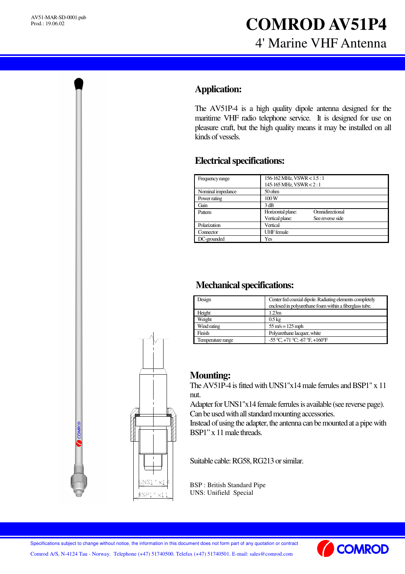## **Application:**

The AV51P-4 is a high quality dipole antenna designed for the maritime VHF radio telephone service. It is designed for use on pleasure craft, but the high quality means it may be installed on all kinds of vessels.

## **Electricalspecifications:**

| Frequency range   | 156-162 MHz, VSWR < 1.5 : 1<br>145-165 MHz, VSWR < 2:1                      |
|-------------------|-----------------------------------------------------------------------------|
| Nominal impedance | $50$ ohm                                                                    |
| Power rating      | 100W                                                                        |
| Gain              | 3 dB                                                                        |
| Pattern           | Omnidirectional<br>Horizontal plane:<br>Vertical plane:<br>See reverse side |
| Polarization      | Vertical                                                                    |
| Connector         | <b>UHF</b> female                                                           |
| DC-grounded       | Yes                                                                         |

## **Mechanical specifications:**

| Design            | Center fed coaxial dipole. Radiating elements completely<br>enclosed in polyurethane foam within a fiberglass tube. |
|-------------------|---------------------------------------------------------------------------------------------------------------------|
| Height            | 1.23m                                                                                                               |
| Weight            | $0.5 \text{ kg}$                                                                                                    |
| Wind rating       | $55 \text{ m/s} = 125 \text{ mph}$                                                                                  |
| Finish            | Polyurethane lacquer, white                                                                                         |
| Temperature range | -55 °C, +71 °C; -67 °F, +160 °F                                                                                     |

## **Mounting:**

The  $AV51P-4$  is fitted with UNS1"x14 male ferrules and BSP1" x 11 nut.

Adapter for UNS1"x14 female ferrules is available (see reverse page). Can be used with all standard mounting accessories.

Instead of using the adapter, the antenna can be mounted at a pipe with BSP1" x 11 male threads.

Suitable cable: RG58, RG213 or similar.

BSP : British Standard Pipe UNS: Unifield Special



Specifications subject to change without notice, the information in this document does not form part of any quotation or contract

Comrod A/S, N-4124 Tau - Norway. Telephone (+47) 51740500. Telefax (+47) 51740501. E-mail: sales@comrod.com